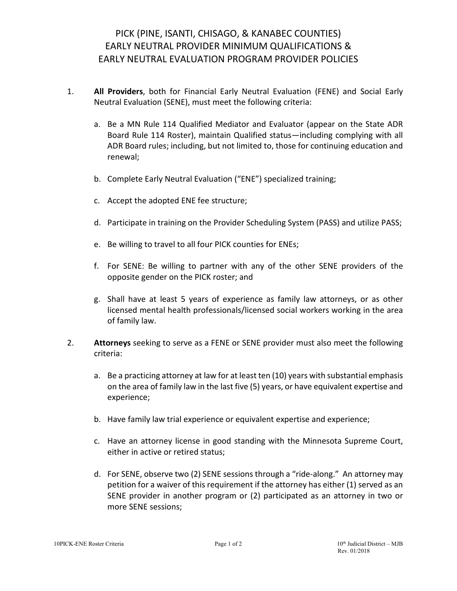## PICK (PINE, ISANTI, CHISAGO, & KANABEC COUNTIES) EARLY NEUTRAL PROVIDER MINIMUM QUALIFICATIONS & EARLY NEUTRAL EVALUATION PROGRAM PROVIDER POLICIES

- 1. **All Providers**, both for Financial Early Neutral Evaluation (FENE) and Social Early Neutral Evaluation (SENE), must meet the following criteria:
	- a. Be a MN Rule 114 Qualified Mediator and Evaluator (appear on the State ADR Board Rule 114 Roster), maintain Qualified status—including complying with all ADR Board rules; including, but not limited to, those for continuing education and renewal;
	- b. Complete Early Neutral Evaluation ("ENE") specialized training;
	- c. Accept the adopted ENE fee structure;
	- d. Participate in training on the Provider Scheduling System (PASS) and utilize PASS;
	- e. Be willing to travel to all four PICK counties for ENEs;
	- f. For SENE: Be willing to partner with any of the other SENE providers of the opposite gender on the PICK roster; and
	- g. Shall have at least 5 years of experience as family law attorneys, or as other licensed mental health professionals/licensed social workers working in the area of family law.
- 2. **Attorneys** seeking to serve as a FENE or SENE provider must also meet the following criteria:
	- a. Be a practicing attorney at law for at least ten (10) years with substantial emphasis on the area of family law in the last five (5) years, or have equivalent expertise and experience;
	- b. Have family law trial experience or equivalent expertise and experience;
	- c. Have an attorney license in good standing with the Minnesota Supreme Court, either in active or retired status;
	- d. For SENE, observe two (2) SENE sessions through a "ride-along." An attorney may petition for a waiver of this requirement if the attorney has either (1) served as an SENE provider in another program or (2) participated as an attorney in two or more SENE sessions;